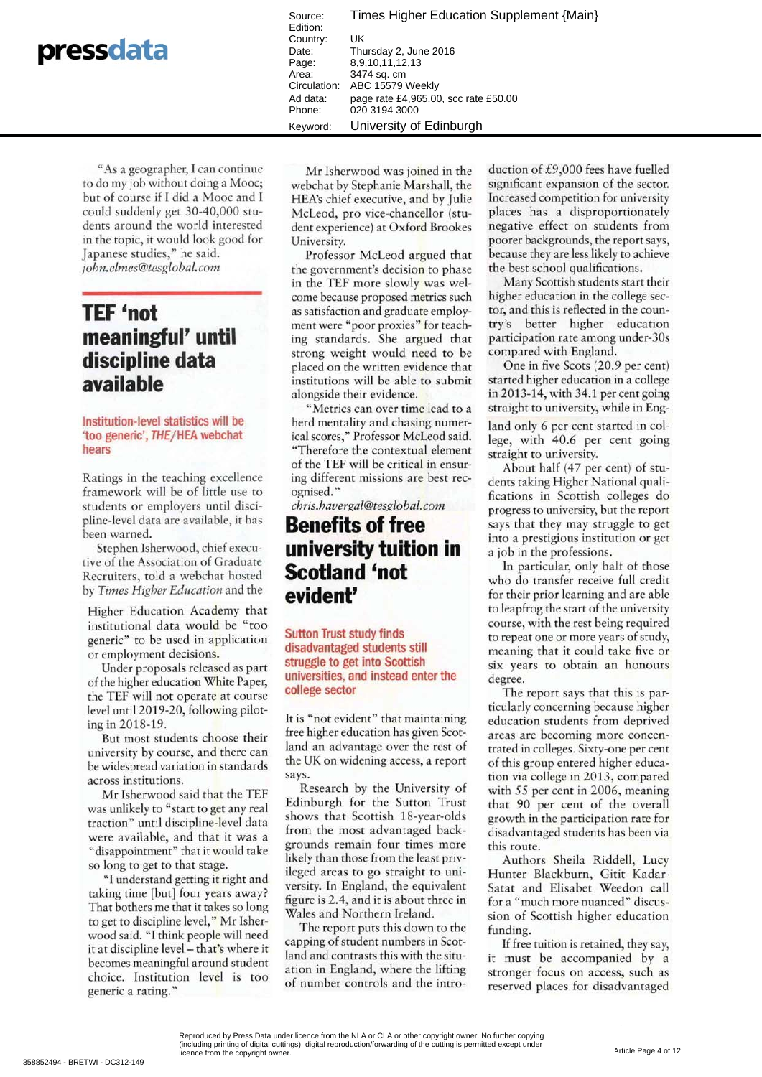|  |  |  | pressdata |
|--|--|--|-----------|
|--|--|--|-----------|

Times Higher Education Supplement {Main} Source: Edition: Country: UK Date: Thursday 2, June 2016 Page: 8,9,10,11,12,13 3474 sq. cm Area: Circulation: ABC 15579 Weekly Ad data: page rate £4,965.00, scc rate £50.00 Phone: 020 3194 3000 University of Edinburgh Keyword<sup>-</sup>

"As a geographer, I can continue to do my job without doing a Mooc; but of course if I did a Mooc and I could suddenly get 30-40,000 students around the world interested in the topic, it would look good for Japanese studies," he said. john.elmes@tesglobal.com

# **TEF 'not** meaningful' until discipline data available

#### Institution-level statistics will be 'too generic', THE/HEA webchat hears

Ratings in the teaching excellence framework will be of little use to students or employers until discipline-level data are available, it has been warned.

Stephen Isherwood, chief executive of the Association of Graduate Recruiters, told a webchat hosted by Times Higher Education and the

Higher Education Academy that institutional data would be "too generic" to be used in application or employment decisions.

Under proposals released as part of the higher education White Paper, the TEF will not operate at course level until 2019-20, following piloting in 2018-19.

But most students choose their university by course, and there can be widespread variation in standards across institutions.

Mr Isherwood said that the TEF was unlikely to "start to get any real traction" until discipline-level data were available, and that it was a "disappointment" that it would take so long to get to that stage.

"I understand getting it right and taking time [but] four years away? That bothers me that it takes so long to get to discipline level," Mr Isherwood said. "I think people will need it at discipline level - that's where it becomes meaningful around student choice. Institution level is too generic a rating."

Mr Isherwood was joined in the webchat by Stephanie Marshall, the HEA's chief executive, and by Julie McLeod, pro vice-chancellor (student experience) at Oxford Brookes University.

Professor McLeod argued that the government's decision to phase in the TEF more slowly was welcome because proposed metrics such as satisfaction and graduate employment were "poor proxies" for teaching standards. She argued that strong weight would need to be placed on the written evidence that institutions will be able to submit alongside their evidence.

"Metrics can over time lead to a herd mentality and chasing numerical scores," Professor McLeod said. "Therefore the contextual element of the TEF will be critical in ensuring different missions are best recognised."

chris.havergal@tesglobal.com

## **Benefits of free** university tuition in **Scotland 'not** evident'

**Sutton Trust study finds** disadvantaged students still struggle to get into Scottish universities, and instead enter the college sector

It is "not evident" that maintaining free higher education has given Scotland an advantage over the rest of the UK on widening access, a report says.

Research by the University of Edinburgh for the Sutton Trust shows that Scottish 18-year-olds from the most advantaged backgrounds remain four times more likely than those from the least privileged areas to go straight to university. In England, the equivalent figure is 2.4, and it is about three in Wales and Northern Ireland.

The report puts this down to the capping of student numbers in Scotland and contrasts this with the situation in England, where the lifting of number controls and the introduction of £9,000 fees have fuelled significant expansion of the sector. Increased competition for university places has a disproportionately negative effect on students from poorer backgrounds, the report says, because they are less likely to achieve the best school qualifications.

Many Scottish students start their higher education in the college sector, and this is reflected in the country's better higher education participation rate among under-30s compared with England.

One in five Scots (20.9 per cent) started higher education in a college in 2013-14, with 34.1 per cent going straight to university, while in England only 6 per cent started in college, with 40.6 per cent going straight to university.

About half (47 per cent) of students taking Higher National qualifications in Scottish colleges do progress to university, but the report says that they may struggle to get into a prestigious institution or get a job in the professions.

In particular, only half of those who do transfer receive full credit for their prior learning and are able to leapfrog the start of the university course, with the rest being required to repeat one or more years of study, meaning that it could take five or six years to obtain an honours degree.

The report says that this is particularly concerning because higher education students from deprived areas are becoming more concentrated in colleges. Sixty-one per cent of this group entered higher education via college in 2013, compared with 55 per cent in 2006, meaning that 90 per cent of the overall growth in the participation rate for disadvantaged students has been via this route.

Authors Sheila Riddell, Lucy Hunter Blackburn, Gitit Kadar-Satat and Elisabet Weedon call for a "much more nuanced" discussion of Scottish higher education funding.

If free tuition is retained, they say, it must be accompanied by a stronger focus on access, such as reserved places for disadvantaged